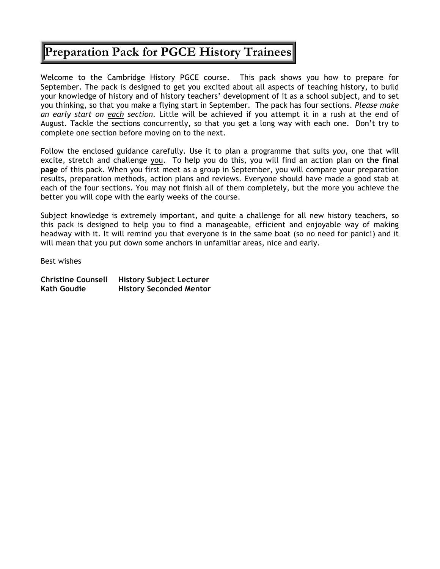## **Preparation Pack for PGCE History Trainees**

Welcome to the Cambridge History PGCE course. This pack shows you how to prepare for September. The pack is designed to get you excited about all aspects of teaching history, to build your knowledge of history and of history teachers' development of it as a school subject, and to set you thinking, so that you make a flying start in September. The pack has four sections. *Please make an early start on each section.* Little will be achieved if you attempt it in a rush at the end of August. Tackle the sections concurrently, so that you get a long way with each one. Don't try to complete one section before moving on to the next.

Follow the enclosed guidance carefully. Use it to plan a programme that suits *you*, one that will excite, stretch and challenge you. To help you do this, you will find an action plan on **the final page** of this pack. When you first meet as a group in September, you will compare your preparation results, preparation methods, action plans and reviews. Everyone should have made a good stab at each of the four sections. You may not finish all of them completely, but the more you achieve the better you will cope with the early weeks of the course.

Subject knowledge is extremely important, and quite a challenge for all new history teachers, so this pack is designed to help you to find a manageable, efficient and enjoyable way of making headway with it. It will remind you that everyone is in the same boat (so no need for panic!) and it will mean that you put down some anchors in unfamiliar areas, nice and early.

Best wishes

| <b>Christine Counsell</b> | <b>History Subject Lecturer</b> |
|---------------------------|---------------------------------|
| <b>Kath Goudie</b>        | <b>History Seconded Mentor</b>  |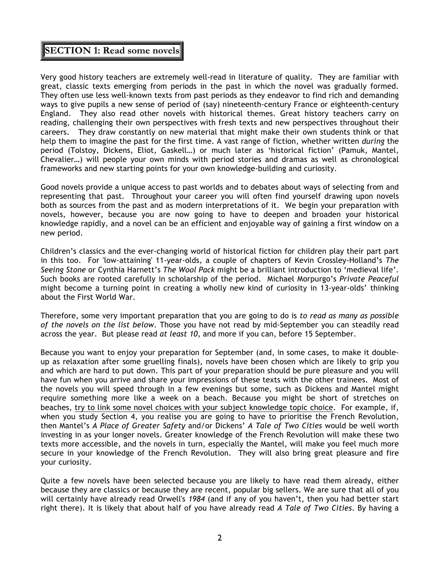## **SECTION 1: Read some novels**

Very good history teachers are extremely well-read in literature of quality. They are familiar with great, classic texts emerging from periods in the past in which the novel was gradually formed. They often use less well-known texts from past periods as they endeavor to find rich and demanding ways to give pupils a new sense of period of (say) nineteenth-century France or eighteenth-century England. They also read other novels with historical themes. Great history teachers carry on reading, challenging their own perspectives with fresh texts and new perspectives throughout their careers. They draw constantly on new material that might make their own students think or that help them to imagine the past for the first time. A vast range of fiction, whether written *during* the period (Tolstoy, Dickens, Eliot, Gaskell…) or much later as 'historical fiction' (Pamuk, Mantel, Chevalier…) will people your own minds with period stories and dramas as well as chronological frameworks and new starting points for your own knowledge-building and curiosity.

Good novels provide a unique access to past worlds and to debates about ways of selecting from and representing that past. Throughout your career you will often find yourself drawing upon novels both as sources from the past and as modern interpretations of it. We begin your preparation with novels, however, because you are now going to have to deepen and broaden your historical knowledge rapidly, and a novel can be an efficient and enjoyable way of gaining a first window on a new period.

Children's classics and the ever-changing world of historical fiction for children play their part part in this too. For 'low-attaining' 11-year-olds, a couple of chapters of Kevin Crossley-Holland's *The Seeing Stone* or Cynthia Harnett's *The Wool Pack* might be a brilliant introduction to 'medieval life'. Such books are rooted carefully in scholarship of the period. Michael Morpurgo's *Private Peaceful* might become a turning point in creating a wholly new kind of curiosity in 13-year-olds' thinking about the First World War.

Therefore, some very important preparation that you are going to do is *to read as many as possible of the novels on the list below*. Those you have not read by mid-September you can steadily read across the year. But please read *at least 10*, and more if you can, before 15 September.

Because you want to enjoy your preparation for September (and, in some cases, to make it doubleup as relaxation after some gruelling finals), novels have been chosen which are likely to grip you and which are hard to put down. This part of your preparation should be pure pleasure and you will have fun when you arrive and share your impressions of these texts with the other trainees. Most of the novels you will speed through in a few evenings but some, such as Dickens and Mantel might require something more like a week on a beach. Because you might be short of stretches on beaches, try to link some novel choices with your subject knowledge topic choice. For example, if, when you study Section 4, you realise you are going to have to prioritise the French Revolution, then Mantel's *A Place of Greater Safety* and/or Dickens' *A Tale of Two Cities* would be well worth investing in as your longer novels. Greater knowledge of the French Revolution will make these two texts more accessible, and the novels in turn, especially the Mantel, will make you feel much more secure in your knowledge of the French Revolution. They will also bring great pleasure and fire your curiosity.

Quite a few novels have been selected because you are likely to have read them already, either because they are classics or because they are recent, popular big sellers. We are sure that all of you will certainly have already read Orwell's *1984* (and if any of you haven't, then you had better start right there). It is likely that about half of you have already read *A Tale of Two Cities*. By having a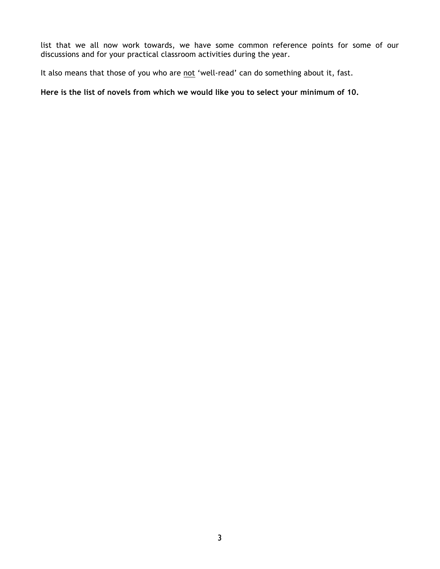list that we all now work towards, we have some common reference points for some of our discussions and for your practical classroom activities during the year.

It also means that those of you who are not 'well-read' can do something about it, fast.

**Here is the list of novels from which we would like you to select your minimum of 10.**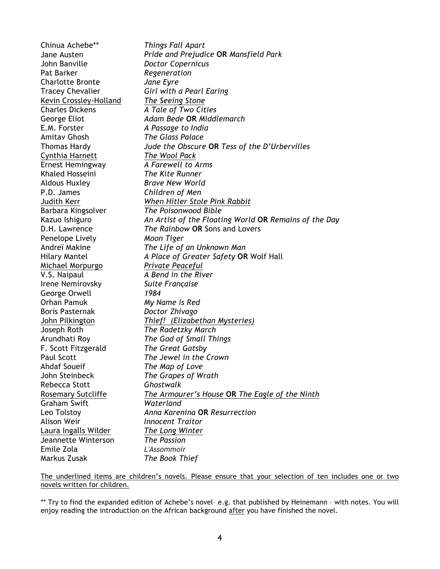*Things Fall Apart Pride and Prejudice* **OR** *Mansfield Park Doctor Copernicus Regeneration Jane Eyre Girl with a Pearl Earing The Seeing Stone A Tale of Two Cities Adam Bede* **OR** *Middlemarch A Passage to India The Glass Palace Jude the Obscure* **OR** *Tess of the D'Urbervilles The Wool Pack A Farewell to Arms The Kite Runner* Chinua Achebe\*\* Jane Austen John Banville Pat Barker Charlotte Bronte Tracey Chevalier Kevin Crossley-Holland Charles Dickens George Eliot E.M. Forster Amitav Ghosh Thomas Hardy Cynthia Harnett Ernest Hemingway Khaled Hosseini Aldous Huxley *Brave New World* P.D. James *Children of Men* Judith Kerr *When Hitler Stole Pink Rabbit* Barbara Kingsolver *The Poisonwood Bible* Kazuo Ishiguro *An Artist of the Floating World* **OR** *Remains of the Day* D.H. Lawrence *The Rainbow* **OR** Sons and Lovers Penelope Lively *Moon Tiger*  Andreï Makine *The Life of an Unknown Man* Hilary Mantel *A Place of Greater Safety* **OR** Wolf Hall Michael Morpurgo *Private Peaceful* V.S. Naipaul *A Bend in the River* Irene Nemirovsky *Suite Française* George Orwell *1984* Orhan Pamuk *My Name is Red* Boris Pasternak *Doctor Zhivago* John Pilkington *Thief! (Elizabethan Mysteries)* Joseph Roth *The Radetzky March* Arundhati Roy *The God of Small Things* F. Scott Fitzgerald *The Great Gatsby* Paul Scott *The Jewel in the Crown* Ahdaf Soueif *The Map of Love* John Steinbeck *The Grapes of Wrath* Rebecca Stott *Ghostwalk* Rosemary Sutcliffe *The Armourer's House* **OR** *The Eagle of the Ninth* Graham Swift *Waterland* Leo Tolstoy *Anna Karenina* **OR** *Resurrection* Alison Weir *Innocent Traitor* Laura Ingalls Wilder *The Long Winter* Jeannette Winterson *The Passion* Emile Zola *L'Assommoir* Markus Zusak *The Book Thief*

The underlined items are children's novels. Please ensure that your selection of ten includes one or two novels written for children.

\*\* Try to find the expanded edition of Achebe's novel– e.g. that published by Heinemann – with notes. You will enjoy reading the introduction on the African background after you have finished the novel.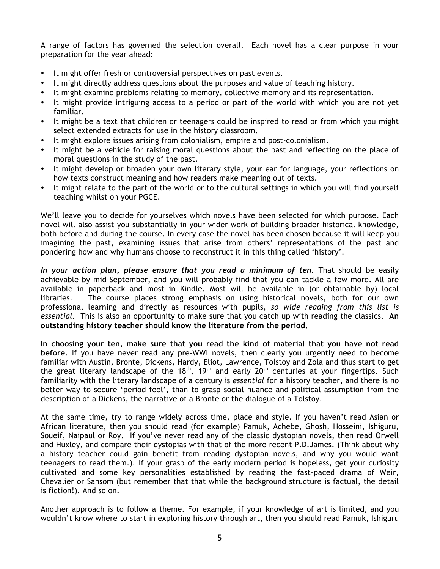A range of factors has governed the selection overall. Each novel has a clear purpose in your preparation for the year ahead:

- It might offer fresh or controversial perspectives on past events.
- It might directly address questions about the purposes and value of teaching history.
- It might examine problems relating to memory, collective memory and its representation.
- It might provide intriguing access to a period or part of the world with which you are not yet familiar.
- It might be a text that children or teenagers could be inspired to read or from which you might select extended extracts for use in the history classroom.
- It might explore issues arising from colonialism, empire and post-colonialism.
- It might be a vehicle for raising moral questions about the past and reflecting on the place of moral questions in the study of the past.
- It might develop or broaden your own literary style, your ear for language, your reflections on how texts construct meaning and how readers make meaning out of texts.
- It might relate to the part of the world or to the cultural settings in which you will find yourself teaching whilst on your PGCE.

We'll leave you to decide for yourselves which novels have been selected for which purpose. Each novel will also assist you substantially in your wider work of building broader historical knowledge, both before and during the course. In every case the novel has been chosen because it will keep you imagining the past, examining issues that arise from others' representations of the past and pondering how and why humans choose to reconstruct it in this thing called 'history'.

*In your action plan, please ensure that you read a minimum of ten.* That should be easily achievable by mid-September, and you will probably find that you can tackle a few more. All are available in paperback and most in Kindle. Most will be available in (or obtainable by) local libraries. The course places strong emphasis on using historical novels, both for our own professional learning and directly as resources with pupils, *so wide reading from this list is essential.* This is also an opportunity to make sure that you catch up with reading the classics. **An outstanding history teacher should know the literature from the period.** 

**In choosing your ten, make sure that you read the kind of material that you have not read before**. If you have never read any pre-WWI novels, then clearly you urgently need to become familiar with Austin, Bronte, Dickens, Hardy, Eliot, Lawrence, Tolstoy and Zola and thus start to get the great literary landscape of the 18<sup>th</sup>, 19<sup>th</sup> and early 20<sup>th</sup> centuries at your fingertips. Such familiarity with the literary landscape of a century is *essential* for a history teacher, and there is no better way to secure 'period feel', than to grasp social nuance and political assumption from the description of a Dickens, the narrative of a Bronte or the dialogue of a Tolstoy.

At the same time, try to range widely across time, place and style. If you haven't read Asian or African literature, then you should read (for example) Pamuk, Achebe, Ghosh, Hosseini, Ishiguru, Soueif, Naipaul or Roy. If you've never read any of the classic dystopian novels, then read Orwell and Huxley, and compare their dystopias with that of the more recent P.D.James. (Think about why a history teacher could gain benefit from reading dystopian novels, and why you would want teenagers to read them.). If your grasp of the early modern period is hopeless, get your curiosity cultivated and some key personalities established by reading the fast-paced drama of Weir, Chevalier or Sansom (but remember that that while the background structure is factual, the detail is fiction!). And so on.

Another approach is to follow a theme. For example, if your knowledge of art is limited, and you wouldn't know where to start in exploring history through art, then you should read Pamuk, Ishiguru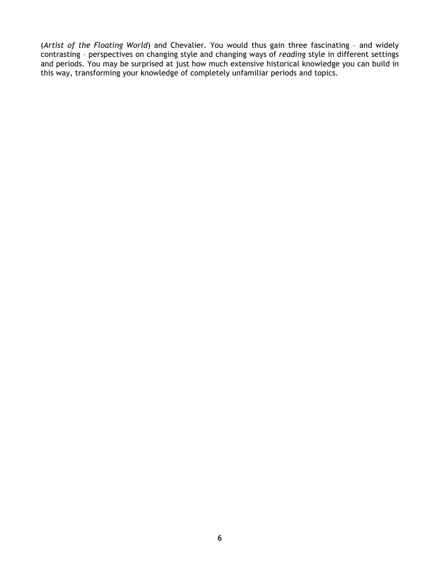(*Artist of the Floating World*) and Chevalier. You would thus gain three fascinating – and widely contrasting – perspectives on changing style and changing ways of *reading* style in different settings and periods. You may be surprised at just how much extensive historical knowledge you can build in this way, transforming your knowledge of completely unfamiliar periods and topics.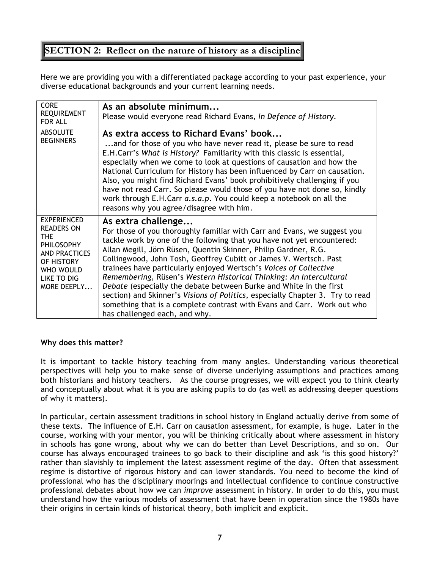## **SECTION 2: Reflect on the nature of history as a discipline**

Here we are providing you with a differentiated package according to your past experience, your diverse educational backgrounds and your current learning needs.

| <b>CORE</b><br><b>REQUIREMENT</b><br>FOR ALL                                                                                                  | As an absolute minimum<br>Please would everyone read Richard Evans, In Defence of History.                                                                                                                                                                                                                                                                                                                                                                                                                                                                                                                                                                                                                                     |
|-----------------------------------------------------------------------------------------------------------------------------------------------|--------------------------------------------------------------------------------------------------------------------------------------------------------------------------------------------------------------------------------------------------------------------------------------------------------------------------------------------------------------------------------------------------------------------------------------------------------------------------------------------------------------------------------------------------------------------------------------------------------------------------------------------------------------------------------------------------------------------------------|
| <b>ABSOLUTE</b><br><b>BEGINNERS</b>                                                                                                           | As extra access to Richard Evans' book<br>and for those of you who have never read it, please be sure to read<br>E.H.Carr's What is History? Familiarity with this classic is essential,<br>especially when we come to look at questions of causation and how the<br>National Curriculum for History has been influenced by Carr on causation.<br>Also, you might find Richard Evans' book prohibitively challenging if you<br>have not read Carr. So please would those of you have not done so, kindly<br>work through E.H.Carr a.s.a.p. You could keep a notebook on all the<br>reasons why you agree/disagree with him.                                                                                                    |
| EXPERIENCED<br><b>READERS ON</b><br>THE<br><b>PHILOSOPHY</b><br><b>AND PRACTICES</b><br>OF HISTORY<br>WHO WOULD<br>LIKE TO DIG<br>MORE DEEPLY | As extra challenge<br>For those of you thoroughly familiar with Carr and Evans, we suggest you<br>tackle work by one of the following that you have not yet encountered:<br>Allan Megill, Jörn Rüsen, Quentin Skinner, Philip Gardner, R.G.<br>Collingwood, John Tosh, Geoffrey Cubitt or James V. Wertsch. Past<br>trainees have particularly enjoyed Wertsch's Voices of Collective<br>Remembering, Rüsen's Western Historical Thinking: An Intercultural<br>Debate (especially the debate between Burke and White in the first<br>section) and Skinner's Visions of Politics, especially Chapter 3. Try to read<br>something that is a complete contrast with Evans and Carr. Work out who<br>has challenged each, and why. |

### **Why does this matter?**

It is important to tackle history teaching from many angles. Understanding various theoretical perspectives will help you to make sense of diverse underlying assumptions and practices among both historians and history teachers. As the course progresses, we will expect you to think clearly and conceptually about what it is you are asking pupils to do (as well as addressing deeper questions of why it matters).

In particular, certain assessment traditions in school history in England actually derive from some of these texts. The influence of E.H. Carr on causation assessment, for example, is huge. Later in the course, working with your mentor, you will be thinking critically about where assessment in history in schools has gone wrong, about why we can do better than Level Descriptions, and so on. Our course has always encouraged trainees to go back to their discipline and ask 'is this good history?' rather than slavishly to implement the latest assessment regime of the day. Often that assessment regime is distortive of rigorous history and can lower standards. You need to become the kind of professional who has the disciplinary moorings and intellectual confidence to continue constructive professional debates about how we can *improve* assessment in history. In order to do this, you must understand how the various models of assessment that have been in operation since the 1980s have their origins in certain kinds of historical theory, both implicit and explicit.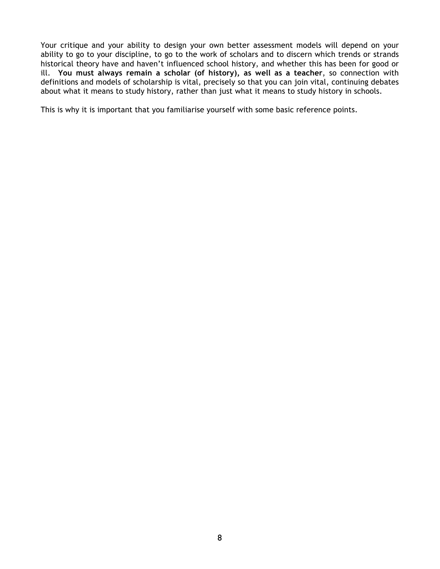Your critique and your ability to design your own better assessment models will depend on your ability to go to your discipline, to go to the work of scholars and to discern which trends or strands historical theory have and haven't influenced school history, and whether this has been for good or ill. **You must always remain a scholar (of history), as well as a teacher**, so connection with definitions and models of scholarship is vital, precisely so that you can join vital, continuing debates about what it means to study history, rather than just what it means to study history in schools.

This is why it is important that you familiarise yourself with some basic reference points.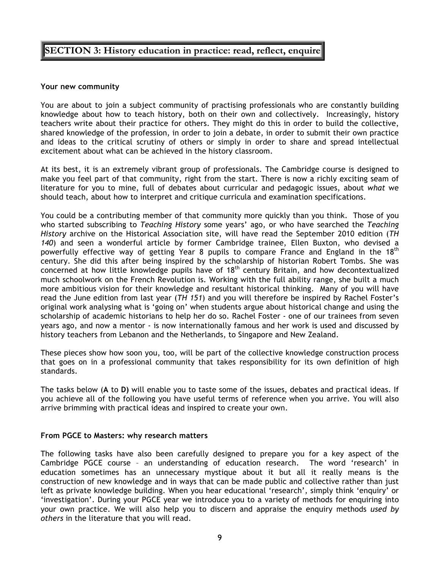## **SECTION 3: History education in practice: read, reflect, enquire**

#### **Your new community**

You are about to join a subject community of practising professionals who are constantly building knowledge about how to teach history, both on their own and collectively. Increasingly, history teachers write about their practice for others. They might do this in order to build the collective, shared knowledge of the profession, in order to join a debate, in order to submit their own practice and ideas to the critical scrutiny of others or simply in order to share and spread intellectual excitement about what can be achieved in the history classroom.

At its best, it is an extremely vibrant group of professionals. The Cambridge course is designed to make you feel part of that community, right from the start. There is now a richly exciting seam of literature for you to mine, full of debates about curricular and pedagogic issues, about *what* we should teach, about how to interpret and critique curricula and examination specifications.

You could be a contributing member of that community more quickly than you think. Those of you who started subscribing to *Teaching History* some years' ago, or who have searched the *Teaching History* archive on the Historical Association site, will have read the September 2010 edition (*TH 140*) and seen a wonderful article by former Cambridge trainee, Ellen Buxton, who devised a powerfully effective way of getting Year 8 pupils to compare France and England in the 18<sup>th</sup> century. She did this after being inspired by the scholarship of historian Robert Tombs. She was concerned at how little knowledge pupils have of 18<sup>th</sup> century Britain, and how decontextualized much schoolwork on the French Revolution is. Working with the full ability range, she built a much more ambitious vision for their knowledge and resultant historical thinking. Many of you will have read the June edition from last year (*TH 151*) and you will therefore be inspired by Rachel Foster's original work analysing what is 'going on' when students argue about historical change and using the scholarship of academic historians to help her do so. Rachel Foster - one of our trainees from seven years ago, and now a mentor - is now internationally famous and her work is used and discussed by history teachers from Lebanon and the Netherlands, to Singapore and New Zealand.

These pieces show how soon you, too, will be part of the collective knowledge construction process that goes on in a professional community that takes responsibility for its own definition of high standards.

The tasks below (**A** to **D)** will enable you to taste some of the issues, debates and practical ideas. If you achieve all of the following you have useful terms of reference when you arrive. You will also arrive brimming with practical ideas and inspired to create your own.

### **From PGCE to Masters: why research matters**

The following tasks have also been carefully designed to prepare you for a key aspect of the Cambridge PGCE course – an understanding of education research. The word 'research' in education sometimes has an unnecessary mystique about it but all it really means is the construction of new knowledge and in ways that can be made public and collective rather than just left as private knowledge building. When you hear educational 'research', simply think 'enquiry' or 'investigation'. During your PGCE year we introduce you to a variety of methods for enquiring into your own practice. We will also help you to discern and appraise the enquiry methods *used by others* in the literature that you will read.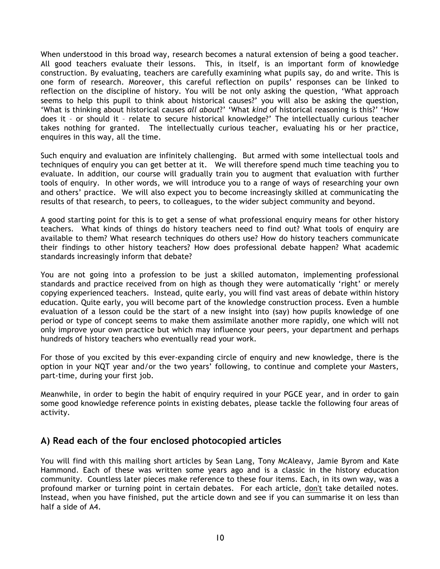When understood in this broad way, research becomes a natural extension of being a good teacher. All good teachers evaluate their lessons. This, in itself, is an important form of knowledge construction. By evaluating, teachers are carefully examining what pupils say, do and write. This is one form of research. Moreover, this careful reflection on pupils' responses can be linked to reflection on the discipline of history. You will be not only asking the question, 'What approach seems to help this pupil to think about historical causes?' you will also be asking the question, 'What is thinking about historical causes *all about*?' 'What *kind* of historical reasoning is this?' 'How does it – or should it – relate to secure historical knowledge?' The intellectually curious teacher takes nothing for granted. The intellectually curious teacher, evaluating his or her practice, enquires in this way, all the time.

Such enquiry and evaluation are infinitely challenging. But armed with some intellectual tools and techniques of enquiry you can get better at it. We will therefore spend much time teaching you to evaluate. In addition, our course will gradually train you to augment that evaluation with further tools of enquiry. In other words, we will introduce you to a range of ways of researching your own and others' practice. We will also expect you to become increasingly skilled at communicating the results of that research, to peers, to colleagues, to the wider subject community and beyond.

A good starting point for this is to get a sense of what professional enquiry means for other history teachers. What kinds of things do history teachers need to find out? What tools of enquiry are available to them? What research techniques do others use? How do history teachers communicate their findings to other history teachers? How does professional debate happen? What academic standards increasingly inform that debate?

You are not going into a profession to be just a skilled automaton, implementing professional standards and practice received from on high as though they were automatically 'right' or merely copying experienced teachers. Instead, quite early, you will find vast areas of debate within history education. Quite early, you will become part of the knowledge construction process. Even a humble evaluation of a lesson could be the start of a new insight into (say) how pupils knowledge of one period or type of concept seems to make them assimilate another more rapidly, one which will not only improve your own practice but which may influence your peers, your department and perhaps hundreds of history teachers who eventually read your work.

For those of you excited by this ever-expanding circle of enquiry and new knowledge, there is the option in your NQT year and/or the two years' following, to continue and complete your Masters, part-time, during your first job.

Meanwhile, in order to begin the habit of enquiry required in your PGCE year, and in order to gain some good knowledge reference points in existing debates, please tackle the following four areas of activity.

### **A) Read each of the four enclosed photocopied articles**

You will find with this mailing short articles by Sean Lang, Tony McAleavy, Jamie Byrom and Kate Hammond. Each of these was written some years ago and is a classic in the history education community. Countless later pieces make reference to these four items. Each, in its own way, was a profound marker or turning point in certain debates. For each article, don't take detailed notes. Instead, when you have finished, put the article down and see if you can summarise it on less than half a side of A4.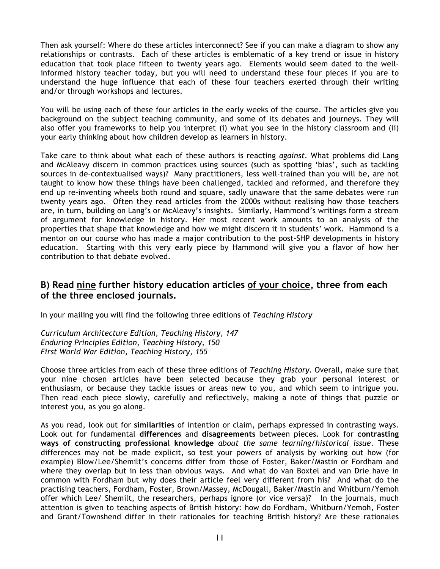Then ask yourself: Where do these articles interconnect? See if you can make a diagram to show any relationships or contrasts. Each of these articles is emblematic of a key trend or issue in history education that took place fifteen to twenty years ago. Elements would seem dated to the wellinformed history teacher today, but you will need to understand these four pieces if you are to understand the huge influence that each of these four teachers exerted through their writing and/or through workshops and lectures.

You will be using each of these four articles in the early weeks of the course. The articles give you background on the subject teaching community, and some of its debates and journeys. They will also offer you frameworks to help you interpret (i) what you see in the history classroom and (ii) your early thinking about how children develop as learners in history.

Take care to think about what each of these authors is reacting *against.* What problems did Lang and McAleavy discern in common practices using sources (such as spotting 'bias', such as tackling sources in de-contextualised ways)? Many practitioners, less well-trained than you will be, are not taught to know how these things have been challenged, tackled and reformed, and therefore they end up re-inventing wheels both round and square, sadly unaware that the same debates were run twenty years ago. Often they read articles from the 2000s without realising how those teachers are, in turn, building on Lang's or McAleavy's insights. Similarly, Hammond's writings form a stream of argument for knowledge in history. Her most recent work amounts to an analysis of the properties that shape that knowledge and how we might discern it in students' work. Hammond is a mentor on our course who has made a major contribution to the post-SHP developments in history education. Starting with this very early piece by Hammond will give you a flavor of how her contribution to that debate evolved.

### **B) Read nine further history education articles of your choice, three from each of the three enclosed journals.**

In your mailing you will find the following three editions of *Teaching History*

*Curriculum Architecture Edition, Teaching History, 147 Enduring Principles Edition, Teaching History, 150 First World War Edition, Teaching History, 155*

Choose three articles from each of these three editions of *Teaching History.* Overall, make sure that your nine chosen articles have been selected because they grab your personal interest or enthusiasm, or because they tackle issues or areas new to you, and which seem to intrigue you. Then read each piece slowly, carefully and reflectively, making a note of things that puzzle or interest you, as you go along.

As you read, look out for **similarities** of intention or claim, perhaps expressed in contrasting ways. Look out for fundamental **differences** and **disagreements** between pieces. Look for **contrasting ways of constructing professional knowledge** *about the same learning/historical issue*. These differences may not be made explicit, so test your powers of analysis by working out how (for example) Blow/Lee/Shemilt's concerns differ from those of Foster, Baker/Mastin or Fordham and where they overlap but in less than obvious ways. And what do van Boxtel and van Drie have in common with Fordham but why does their article feel very different from his? And what do the practising teachers, Fordham, Foster, Brown/Massey, McDougall, Baker/Mastin and Whitburn/Yemoh offer which Lee/ Shemilt, the researchers, perhaps ignore (or vice versa)? In the journals, much attention is given to teaching aspects of British history: how do Fordham, Whitburn/Yemoh, Foster and Grant/Townshend differ in their rationales for teaching British history? Are these rationales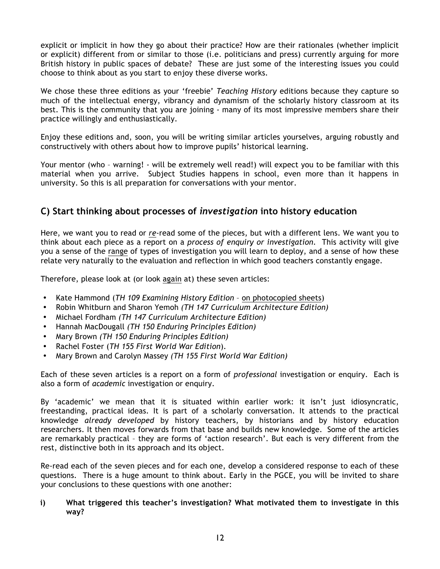explicit or implicit in how they go about their practice? How are their rationales (whether implicit or explicit) different from or similar to those (i.e. politicians and press) currently arguing for more British history in public spaces of debate? These are just some of the interesting issues you could choose to think about as you start to enjoy these diverse works.

We chose these three editions as your 'freebie' *Teaching History* editions because they capture so much of the intellectual energy, vibrancy and dynamism of the scholarly history classroom at its best. This is the community that you are joining - many of its most impressive members share their practice willingly and enthusiastically.

Enjoy these editions and, soon, you will be writing similar articles yourselves, arguing robustly and constructively with others about how to improve pupils' historical learning.

Your mentor (who – warning! - will be extremely well read!) will expect you to be familiar with this material when you arrive. Subject Studies happens in school, even more than it happens in university. So this is all preparation for conversations with your mentor.

### **C) Start thinking about processes of** *investigation* **into history education**

Here, we want you to read or *re*-read some of the pieces, but with a different lens. We want you to think about each piece as a report on a *process of enquiry or investigation.* This activity will give you a sense of the range of types of investigation you will learn to deploy, and a sense of how these relate very naturally to the evaluation and reflection in which good teachers constantly engage.

Therefore, please look at (or look again at) these seven articles:

- Kate Hammond (*TH 109 Examining History Edition* on photocopied sheets)
- Robin Whitburn and Sharon Yemoh *(TH 147 Curriculum Architecture Edition)*
- Michael Fordham *(TH 147 Curriculum Architecture Edition)*
- Hannah MacDougall *(TH 150 Enduring Principles Edition)*
- Mary Brown *(TH 150 Enduring Principles Edition)*
- Rachel Foster (*TH 155 First World War Edition*).
- Mary Brown and Carolyn Massey *(TH 155 First World War Edition)*

Each of these seven articles is a report on a form of *professional* investigation or enquiry. Each is also a form of *academic* investigation or enquiry.

By 'academic' we mean that it is situated within earlier work: it isn't just idiosyncratic, freestanding, practical ideas. It is part of a scholarly conversation. It attends to the practical knowledge *already developed* by history teachers, by historians and by history education researchers. It then moves forwards from that base and builds new knowledge. Some of the articles are remarkably practical – they are forms of 'action research'. But each is very different from the rest, distinctive both in its approach and its object.

Re-read each of the seven pieces and for each one, develop a considered response to each of these questions. There is a huge amount to think about. Early in the PGCE, you will be invited to share your conclusions to these questions with one another:

### **i) What triggered this teacher's investigation? What motivated them to investigate in this way?**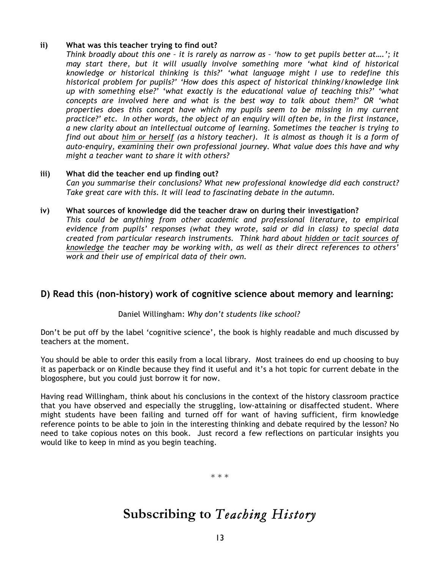### **ii) What was this teacher trying to find out?**

*Think broadly about this one – it is rarely as narrow as – 'how to get pupils better at….'; it may start there, but it will usually involve something more 'what kind of historical knowledge or historical thinking is this?' 'what language might I use to redefine this historical problem for pupils?' 'How does this aspect of historical thinking/knowledge link up with something else?' 'what exactly is the educational value of teaching this?' 'what concepts are involved here and what is the best way to talk about them?' OR 'what properties does this concept have which my pupils seem to be missing in my current practice?' etc. In other words, the object of an enquiry will often be, in the first instance, a new clarity about an intellectual outcome of learning. Sometimes the teacher is trying to find out about him or herself (as a history teacher). It is almost as though it is a form of auto-enquiry, examining their own professional journey. What value does this have and why might a teacher want to share it with others?* 

#### **iii) What did the teacher end up finding out?**  *Can you summarise their conclusions? What new professional knowledge did each construct? Take great care with this. It will lead to fascinating debate in the autumn.*

### **iv) What sources of knowledge did the teacher draw on during their investigation?**

*This could be anything from other academic and professional literature, to empirical evidence from pupils' responses (what they wrote, said or did in class) to special data created from particular research instruments. Think hard about hidden or tacit sources of knowledge the teacher may be working with, as well as their direct references to others' work and their use of empirical data of their own.* 

### **D) Read this (non-history) work of cognitive science about memory and learning:**

### Daniel Willingham: *Why don't students like school?*

Don't be put off by the label 'cognitive science', the book is highly readable and much discussed by teachers at the moment.

You should be able to order this easily from a local library. Most trainees do end up choosing to buy it as paperback or on Kindle because they find it useful and it's a hot topic for current debate in the blogosphere, but you could just borrow it for now.

Having read Willingham, think about his conclusions in the context of the history classroom practice that you have observed and especially the struggling, low-attaining or disaffected student. Where might students have been failing and turned off for want of having sufficient, firm knowledge reference points to be able to join in the interesting thinking and debate required by the lesson? No need to take copious notes on this book. Just record a few reflections on particular insights you would like to keep in mind as you begin teaching.

\* \* \*

## **Subscribing to** *Teaching History*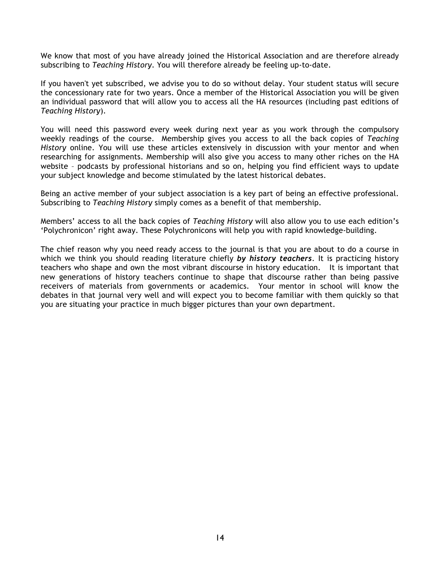We know that most of you have already joined the Historical Association and are therefore already subscribing to *Teaching History*. You will therefore already be feeling up-to-date.

If you haven't yet subscribed, we advise you to do so without delay. Your student status will secure the concessionary rate for two years. Once a member of the Historical Association you will be given an individual password that will allow you to access all the HA resources (including past editions of *Teaching History*).

You will need this password every week during next year as you work through the compulsory weekly readings of the course. Membership gives you access to all the back copies of *Teaching History* online. You will use these articles extensively in discussion with your mentor and when researching for assignments. Membership will also give you access to many other riches on the HA website – podcasts by professional historians and so on, helping you find efficient ways to update your subject knowledge and become stimulated by the latest historical debates.

Being an active member of your subject association is a key part of being an effective professional. Subscribing to *Teaching History* simply comes as a benefit of that membership.

Members' access to all the back copies of *Teaching History* will also allow you to use each edition's 'Polychronicon' right away. These Polychronicons will help you with rapid knowledge-building.

The chief reason why you need ready access to the journal is that you are about to do a course in which we think you should reading literature chiefly *by history teachers*. It is practicing history teachers who shape and own the most vibrant discourse in history education. It is important that new generations of history teachers continue to shape that discourse rather than being passive receivers of materials from governments or academics. Your mentor in school will know the debates in that journal very well and will expect you to become familiar with them quickly so that you are situating your practice in much bigger pictures than your own department.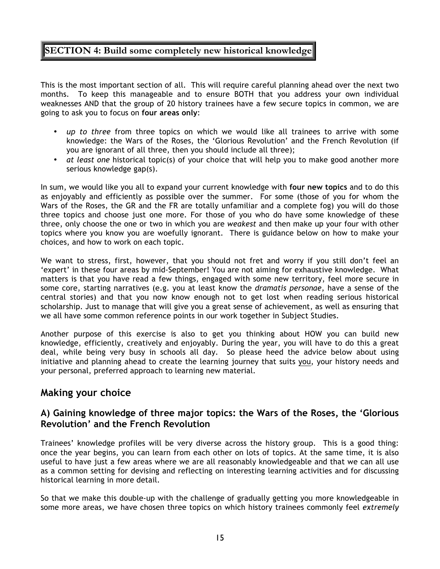## **SECTION 4: Build some completely new historical knowledge**

This is the most important section of all. This will require careful planning ahead over the next two months. To keep this manageable and to ensure BOTH that you address your own individual weaknesses AND that the group of 20 history trainees have a few secure topics in common, we are going to ask you to focus on **four areas only**:

- *up to three* from three topics on which we would like all trainees to arrive with some knowledge: the Wars of the Roses, the 'Glorious Revolution' and the French Revolution (if you are ignorant of all three, then you should include all three);
- *at least one* historical topic(s) of your choice that will help you to make good another more serious knowledge gap(s).

In sum, we would like you all to expand your current knowledge with **four new topics** and to do this as enjoyably and efficiently as possible over the summer. For some (those of you for whom the Wars of the Roses, the GR and the FR are totally unfamiliar and a complete fog) you will do those three topics and choose just one more. For those of you who do have some knowledge of these three, only choose the one or two in which you are *weakest* and then make up your four with other topics where you know you are woefully ignorant. There is guidance below on how to make your choices, and how to work on each topic.

We want to stress, first, however, that you should not fret and worry if you still don't feel an 'expert' in these four areas by mid-September! You are not aiming for exhaustive knowledge. What matters is that you have read a few things, engaged with some new territory, feel more secure in some core, starting narratives (e.g. you at least know the *dramatis personae*, have a sense of the central stories) and that you now know enough not to get lost when reading serious historical scholarship. Just to manage that will give you a great sense of achievement, as well as ensuring that we all have some common reference points in our work together in Subject Studies.

Another purpose of this exercise is also to get you thinking about HOW you can build new knowledge, efficiently, creatively and enjoyably. During the year, you will have to do this a great deal, while being very busy in schools all day. So please heed the advice below about using initiative and planning ahead to create the learning journey that suits you, your history needs and your personal, preferred approach to learning new material.

## **Making your choice**

### **A) Gaining knowledge of three major topics: the Wars of the Roses, the 'Glorious Revolution' and the French Revolution**

Trainees' knowledge profiles will be very diverse across the history group. This is a good thing: once the year begins, you can learn from each other on lots of topics. At the same time, it is also useful to have just a few areas where we are all reasonably knowledgeable and that we can all use as a common setting for devising and reflecting on interesting learning activities and for discussing historical learning in more detail.

So that we make this double-up with the challenge of gradually getting you more knowledgeable in some more areas, we have chosen three topics on which history trainees commonly feel *extremely*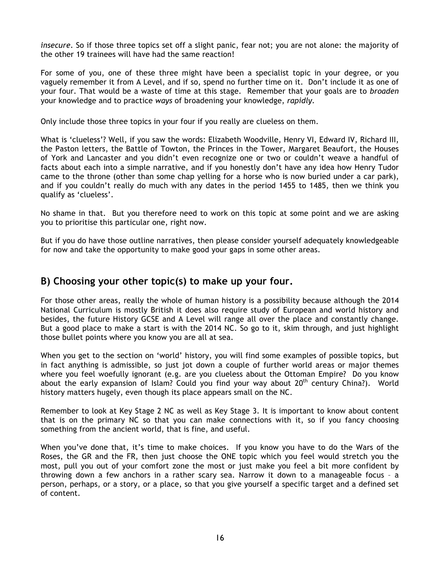*insecure*. So if those three topics set off a slight panic, fear not; you are not alone: the majority of the other 19 trainees will have had the same reaction!

For some of you, one of these three might have been a specialist topic in your degree, or you vaguely remember it from A Level, and if so, spend no further time on it. Don't include it as one of your four. That would be a waste of time at this stage. Remember that your goals are to *broaden*  your knowledge and to practice *ways* of broadening your knowledge, *rapidly.*

Only include those three topics in your four if you really are clueless on them.

What is 'clueless'? Well, if you saw the words: Elizabeth Woodville, Henry VI, Edward IV, Richard III, the Paston letters, the Battle of Towton, the Princes in the Tower, Margaret Beaufort, the Houses of York and Lancaster and you didn't even recognize one or two or couldn't weave a handful of facts about each into a simple narrative, and if you honestly don't have any idea how Henry Tudor came to the throne (other than some chap yelling for a horse who is now buried under a car park), and if you couldn't really do much with any dates in the period 1455 to 1485, then we think you qualify as 'clueless'.

No shame in that. But you therefore need to work on this topic at some point and we are asking you to prioritise this particular one, right now.

But if you do have those outline narratives, then please consider yourself adequately knowledgeable for now and take the opportunity to make good your gaps in some other areas.

## **B) Choosing your other topic(s) to make up your four.**

For those other areas, really the whole of human history is a possibility because although the 2014 National Curriculum is mostly British it does also require study of European and world history and besides, the future History GCSE and A Level will range all over the place and constantly change. But a good place to make a start is with the 2014 NC. So go to it, skim through, and just highlight those bullet points where you know you are all at sea.

When you get to the section on 'world' history, you will find some examples of possible topics, but in fact anything is admissible, so just jot down a couple of further world areas or major themes where you feel woefully ignorant (e.g. are you clueless about the Ottoman Empire? Do you know about the early expansion of Islam? Could you find your way about  $20<sup>th</sup>$  century China?). World history matters hugely, even though its place appears small on the NC.

Remember to look at Key Stage 2 NC as well as Key Stage 3. It is important to know about content that is on the primary NC so that you can make connections with it, so if you fancy choosing something from the ancient world, that is fine, and useful.

When you've done that, it's time to make choices. If you know you have to do the Wars of the Roses, the GR and the FR, then just choose the ONE topic which you feel would stretch you the most, pull you out of your comfort zone the most or just make you feel a bit more confident by throwing down a few anchors in a rather scary sea. Narrow it down to a manageable focus – a person, perhaps, or a story, or a place, so that you give yourself a specific target and a defined set of content.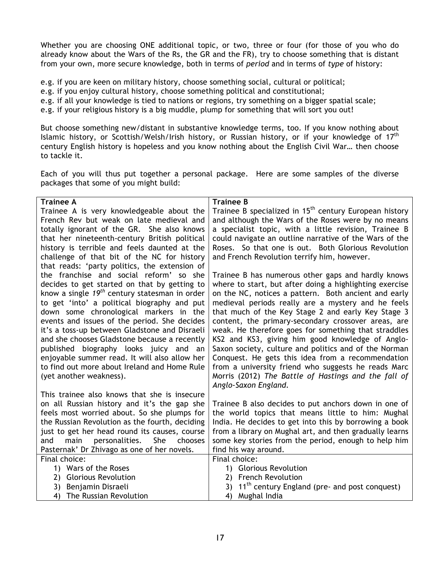Whether you are choosing ONE additional topic, or two, three or four (for those of you who do already know about the Wars of the Rs, the GR and the FR), try to choose something that is distant from your own, more secure knowledge, both in terms of *period* and in terms of *type* of history:

- e.g. if you are keen on military history, choose something social, cultural or political;
- e.g. if you enjoy cultural history, choose something political and constitutional;
- e.g. if all your knowledge is tied to nations or regions, try something on a bigger spatial scale;
- e.g. if your religious history is a big muddle, plump for something that will sort you out!

But choose something new/distant in substantive knowledge terms, too. If you know nothing about Islamic history, or Scottish/Welsh/Irish history, or Russian history, or if your knowledge of 17<sup>th</sup> century English history is hopeless and you know nothing about the English Civil War… then choose to tackle it.

Each of you will thus put together a personal package. Here are some samples of the diverse packages that some of you might build:

| <b>Trainee A</b>                                                                                 | <b>Trainee B</b>                                                                                            |  |  |
|--------------------------------------------------------------------------------------------------|-------------------------------------------------------------------------------------------------------------|--|--|
| Trainee A is very knowledgeable about the                                                        | Trainee B specialized in 15 <sup>th</sup> century European history                                          |  |  |
| French Rev but weak on late medieval and                                                         | and although the Wars of the Roses were by no means                                                         |  |  |
| totally ignorant of the GR. She also knows                                                       | a specialist topic, with a little revision, Trainee B                                                       |  |  |
| that her nineteenth-century British political                                                    | could navigate an outline narrative of the Wars of the                                                      |  |  |
| history is terrible and feels daunted at the                                                     | Roses. So that one is out. Both Glorious Revolution                                                         |  |  |
| challenge of that bit of the NC for history                                                      | and French Revolution terrify him, however.                                                                 |  |  |
| that reads: 'party politics, the extension of                                                    |                                                                                                             |  |  |
| the franchise and social reform' so she                                                          | Trainee B has numerous other gaps and hardly knows                                                          |  |  |
| decides to get started on that by getting to                                                     | where to start, but after doing a highlighting exercise                                                     |  |  |
| know a single $19^{th}$ century statesman in order                                               | on the NC, notices a pattern. Both ancient and early                                                        |  |  |
| to get 'into' a political biography and put                                                      | medieval periods really are a mystery and he feels                                                          |  |  |
| down some chronological markers in the                                                           | that much of the Key Stage 2 and early Key Stage 3                                                          |  |  |
| events and issues of the period. She decides                                                     | content, the primary-secondary crossover areas, are                                                         |  |  |
| it's a toss-up between Gladstone and Disraeli                                                    | weak. He therefore goes for something that straddles                                                        |  |  |
| and she chooses Gladstone because a recently                                                     | KS2 and KS3, giving him good knowledge of Anglo-                                                            |  |  |
| published biography looks juicy and an                                                           | Saxon society, culture and politics and of the Norman                                                       |  |  |
| enjoyable summer read. It will also allow her                                                    | Conquest. He gets this idea from a recommendation                                                           |  |  |
| to find out more about Ireland and Home Rule                                                     | from a university friend who suggests he reads Marc                                                         |  |  |
| (yet another weakness).                                                                          | Morris (2012) The Battle of Hastings and the fall of                                                        |  |  |
|                                                                                                  | Anglo-Saxon England.                                                                                        |  |  |
| This trainee also knows that she is insecure                                                     |                                                                                                             |  |  |
| on all Russian history and it's the gap she                                                      | Trainee B also decides to put anchors down in one of                                                        |  |  |
| feels most worried about. So she plumps for<br>the Russian Revolution as the fourth, deciding    | the world topics that means little to him: Mughal<br>India. He decides to get into this by borrowing a book |  |  |
|                                                                                                  |                                                                                                             |  |  |
| just to get her head round its causes, course<br>personalities.<br>She<br>and<br>main<br>chooses | from a library on Mughal art, and then gradually learns                                                     |  |  |
| Pasternak' Dr Zhivago as one of her novels.                                                      | some key stories from the period, enough to help him<br>find his way around.                                |  |  |
| Final choice:                                                                                    | Final choice:                                                                                               |  |  |
| 1) Wars of the Roses                                                                             | 1) Glorious Revolution                                                                                      |  |  |
| 2) Glorious Revolution                                                                           | <b>French Revolution</b><br>2)                                                                              |  |  |
| 3) Benjamin Disraeli                                                                             | 11 <sup>th</sup> century England (pre- and post conquest)<br>3)                                             |  |  |
| The Russian Revolution<br>4)                                                                     | Mughal India<br>4)                                                                                          |  |  |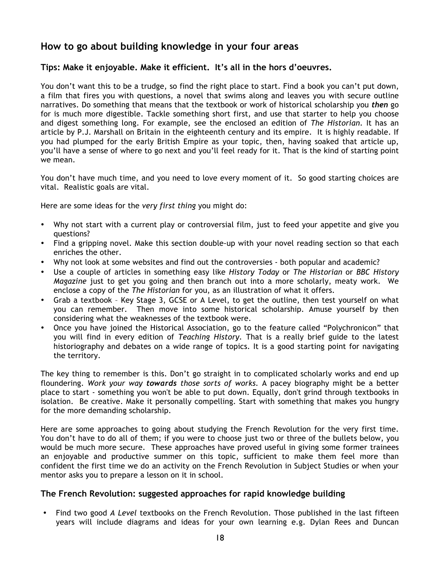## **How to go about building knowledge in your four areas**

### **Tips: Make it enjoyable. Make it efficient. It's all in the hors d'oeuvres.**

You don't want this to be a trudge, so find the right place to start. Find a book you can't put down, a film that fires you with questions, a novel that swims along and leaves you with secure outline narratives. Do something that means that the textbook or work of historical scholarship you *then* go for is much more digestible. Tackle something short first, and use that starter to help you choose and digest something long. For example, see the enclosed an edition of *The Historian*. It has an article by P.J. Marshall on Britain in the eighteenth century and its empire. It is highly readable. If you had plumped for the early British Empire as your topic, then, having soaked that article up, you'll have a sense of where to go next and you'll feel ready for it. That is the kind of starting point we mean.

You don't have much time, and you need to love every moment of it. So good starting choices are vital. Realistic goals are vital.

Here are some ideas for the *very first thing* you might do:

- Why not start with a current play or controversial film, just to feed your appetite and give you questions?
- Find a gripping novel. Make this section double-up with your novel reading section so that each enriches the other.
- Why not look at some websites and find out the controversies both popular and academic?
- Use a couple of articles in something easy like *History Today* or *The Historian* or *BBC History Magazine* just to get you going and then branch out into a more scholarly, meaty work. We enclose a copy of the *The Historian* for you, as an illustration of what it offers.
- Grab a textbook Key Stage 3, GCSE or A Level, to get the outline, then test yourself on what you can remember. Then move into some historical scholarship. Amuse yourself by then considering what the weaknesses of the textbook were.
- Once you have joined the Historical Association, go to the feature called "Polychronicon" that you will find in every edition of *Teaching History.* That is a really brief guide to the latest historiography and debates on a wide range of topics. It is a good starting point for navigating the territory.

The key thing to remember is this. Don't go straight in to complicated scholarly works and end up floundering. *Work your way towards those sorts of works.* A pacey biography might be a better place to start - something you won't be able to put down. Equally, don't grind through textbooks in isolation. Be creative. Make it personally compelling. Start with something that makes you hungry for the more demanding scholarship.

Here are some approaches to going about studying the French Revolution for the very first time. You don't have to do all of them; if you were to choose just two or three of the bullets below, you would be much more secure. These approaches have proved useful in giving some former trainees an enjoyable and productive summer on this topic, sufficient to make them feel more than confident the first time we do an activity on the French Revolution in Subject Studies or when your mentor asks you to prepare a lesson on it in school.

### **The French Revolution: suggested approaches for rapid knowledge building**

• Find two good *A Level* textbooks on the French Revolution. Those published in the last fifteen years will include diagrams and ideas for your own learning e.g. Dylan Rees and Duncan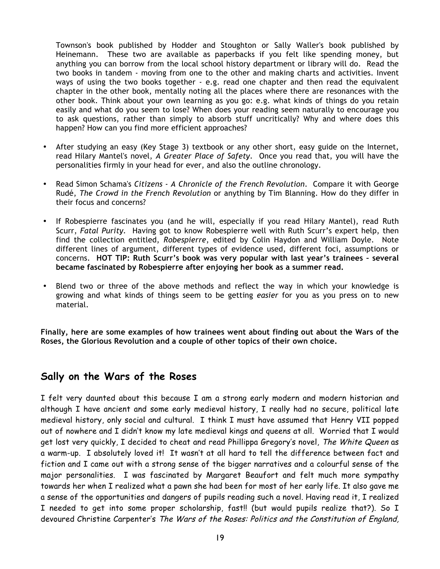Townson's book published by Hodder and Stoughton or Sally Waller's book published by Heinemann. These two are available as paperbacks if you felt like spending money, but anything you can borrow from the local school history department or library will do. Read the two books in tandem - moving from one to the other and making charts and activities. Invent ways of using the two books together - e.g. read one chapter and then read the equivalent chapter in the other book, mentally noting all the places where there are resonances with the other book. Think about your own learning as you go: e.g. what kinds of things do you retain easily and what do you seem to lose? When does your reading seem naturally to encourage you to ask questions, rather than simply to absorb stuff uncritically? Why and where does this happen? How can you find more efficient approaches?

- After studying an easy (Key Stage 3) textbook or any other short, easy guide on the Internet, read Hilary Mantel's novel, *A Greater Place of Safety*. Once you read that, you will have the personalities firmly in your head for ever, and also the outline chronology.
- Read Simon Schama's *Citizens - A Chronicle of the French Revolution*. Compare it with George Rudé, *The Crowd in the French Revolution* or anything by Tim Blanning. How do they differ in their focus and concerns?
- If Robespierre fascinates you (and he will, especially if you read Hilary Mantel), read Ruth Scurr, *Fatal Purity.* Having got to know Robespierre well with Ruth Scurr's expert help, then find the collection entitled, *Robespierre*, edited by Colin Haydon and William Doyle. Note different lines of argument, different types of evidence used, different foci, assumptions or concerns. **HOT TIP: Ruth Scurr's book was very popular with last year's trainees – several became fascinated by Robespierre after enjoying her book as a summer read.**
- Blend two or three of the above methods and reflect the way in which your knowledge is growing and what kinds of things seem to be getting *easier* for you as you press on to new material.

**Finally, here are some examples of how trainees went about finding out about the Wars of the Roses, the Glorious Revolution and a couple of other topics of their own choice.** 

## **Sally on the Wars of the Roses**

I felt very daunted about this because I am a strong early modern and modern historian and although I have ancient and some early medieval history, I really had no secure, political late medieval history, only social and cultural. I think I must have assumed that Henry VII popped out of nowhere and I didn't know my late medieval kings and queens at all. Worried that I would get lost very quickly, I decided to cheat and read Phillippa Gregory's novel, The White Queen as a warm-up. I absolutely loved it! It wasn't at all hard to tell the difference between fact and fiction and I came out with a strong sense of the bigger narratives and a colourful sense of the major personalities. I was fascinated by Margaret Beaufort and felt much more sympathy towards her when I realized what a pawn she had been for most of her early life. It also gave me a sense of the opportunities and dangers of pupils reading such a novel. Having read it, I realized I needed to get into some proper scholarship, fast!! (but would pupils realize that?). So I devoured Christine Carpenter's The Wars of the Roses: Politics and the Constitution of England,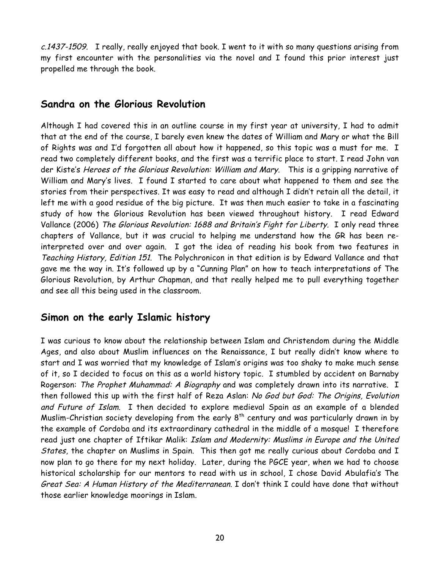c.1437-1509. I really, really enjoyed that book. I went to it with so many questions arising from my first encounter with the personalities via the novel and I found this prior interest just propelled me through the book.

## **Sandra on the Glorious Revolution**

Although I had covered this in an outline course in my first year at university, I had to admit that at the end of the course, I barely even knew the dates of William and Mary or what the Bill of Rights was and I'd forgotten all about how it happened, so this topic was a must for me. I read two completely different books, and the first was a terrific place to start. I read John van der Kiste's Heroes of the Glorious Revolution: William and Mary. This is a gripping narrative of William and Mary's lives. I found I started to care about what happened to them and see the stories from their perspectives. It was easy to read and although I didn't retain all the detail, it left me with a good residue of the big picture. It was then much easier to take in a fascinating study of how the Glorious Revolution has been viewed throughout history. I read Edward Vallance (2006) The Glorious Revolution: 1688 and Britain's Fight for Liberty. I only read three chapters of Vallance, but it was crucial to helping me understand how the GR has been reinterpreted over and over again. I got the idea of reading his book from two features in Teaching History, Edition 151. The Polychronicon in that edition is by Edward Vallance and that gave me the way in. It's followed up by a "Cunning Plan" on how to teach interpretations of The Glorious Revolution, by Arthur Chapman, and that really helped me to pull everything together and see all this being used in the classroom.

## **Simon on the early Islamic history**

I was curious to know about the relationship between Islam and Christendom during the Middle Ages, and also about Muslim influences on the Renaissance, I but really didn't know where to start and I was worried that my knowledge of Islam's origins was too shaky to make much sense of it, so I decided to focus on this as a world history topic. I stumbled by accident on Barnaby Rogerson: The Prophet Muhammad: A Biography and was completely drawn into its narrative. I then followed this up with the first half of Reza Aslan: No God but God: The Origins, Evolution and Future of Islam. I then decided to explore medieval Spain as an example of a blended Muslim-Christian society developing from the early  $8<sup>th</sup>$  century and was particularly drawn in by the example of Cordoba and its extraordinary cathedral in the middle of a mosque! I therefore read just one chapter of Iftikar Malik: Islam and Modernity: Muslims in Europe and the United States, the chapter on Muslims in Spain. This then got me really curious about Cordoba and I now plan to go there for my next holiday. Later, during the PGCE year, when we had to choose historical scholarship for our mentors to read with us in school, I chose David Abulafia's The Great Sea: A Human History of the Mediterranean. I don't think I could have done that without those earlier knowledge moorings in Islam.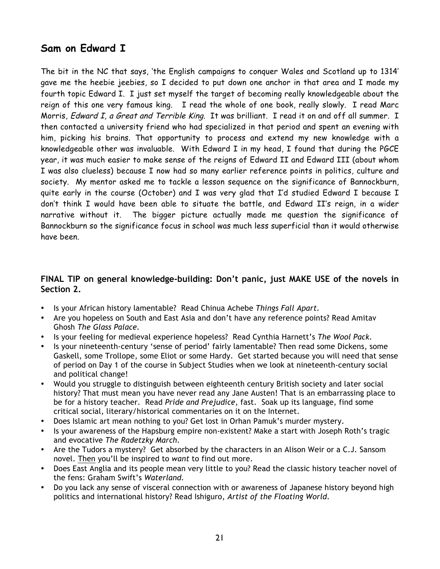## **Sam on Edward I**

The bit in the NC that says, 'the English campaigns to conquer Wales and Scotland up to 1314' gave me the heebie jeebies, so I decided to put down one anchor in that area and I made my fourth topic Edward I. I just set myself the target of becoming really knowledgeable about the reign of this one very famous king. I read the whole of one book, really slowly. I read Marc Morris, Edward I, a Great and Terrible King. It was brilliant. I read it on and off all summer. I then contacted a university friend who had specialized in that period and spent an evening with him, picking his brains. That opportunity to process and extend my new knowledge with a knowledgeable other was invaluable. With Edward I in my head, I found that during the PGCE year, it was much easier to make sense of the reigns of Edward II and Edward III (about whom I was also clueless) because I now had so many earlier reference points in politics, culture and society. My mentor asked me to tackle a lesson sequence on the significance of Bannockburn, quite early in the course (October) and I was very glad that I'd studied Edward I because I don't think I would have been able to situate the battle, and Edward II's reign, in a wider narrative without it. The bigger picture actually made me question the significance of Bannockburn so the significance focus in school was much less superficial than it would otherwise have been.

### **FINAL TIP on general knowledge-building: Don't panic, just MAKE USE of the novels in Section 2.**

- Is your African history lamentable? Read Chinua Achebe *Things Fall Apart.*
- Are you hopeless on South and East Asia and don't have any reference points? Read Amitav Ghosh *The Glass Palace.*
- Is your feeling for medieval experience hopeless? Read Cynthia Harnett's *The Wool Pack.*
- Is your nineteenth-century 'sense of period' fairly lamentable? Then read some Dickens, some Gaskell, some Trollope, some Eliot or some Hardy. Get started because you will need that sense of period on Day 1 of the course in Subject Studies when we look at nineteenth-century social and political change!
- Would you struggle to distinguish between eighteenth century British society and later social history? That must mean you have never read any Jane Austen! That is an embarrassing place to be for a history teacher. Read *Pride and Prejudice*, fast. Soak up its language, find some critical social, literary/historical commentaries on it on the Internet.
- Does Islamic art mean nothing to you? Get lost in Orhan Pamuk's murder mystery.
- Is your awareness of the Hapsburg empire non-existent? Make a start with Joseph Roth's tragic and evocative *The Radetzky March.*
- Are the Tudors a mystery? Get absorbed by the characters in an Alison Weir or a C.J. Sansom novel. Then you'll be inspired to *want* to find out more.
- Does East Anglia and its people mean very little to you? Read the classic history teacher novel of the fens: Graham Swift's *Waterland.*
- Do you lack any sense of visceral connection with or awareness of Japanese history beyond high politics and international history? Read Ishiguro, *Artist of the Floating World.*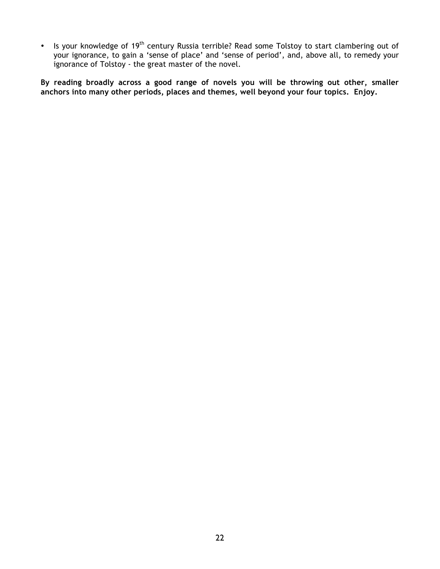• Is your knowledge of 19<sup>th</sup> century Russia terrible? Read some Tolstoy to start clambering out of your ignorance, to gain a 'sense of place' and 'sense of period', and, above all, to remedy your ignorance of Tolstoy - the great master of the novel.

**By reading broadly across a good range of novels you will be throwing out other, smaller anchors into many other periods, places and themes, well beyond your four topics. Enjoy.**